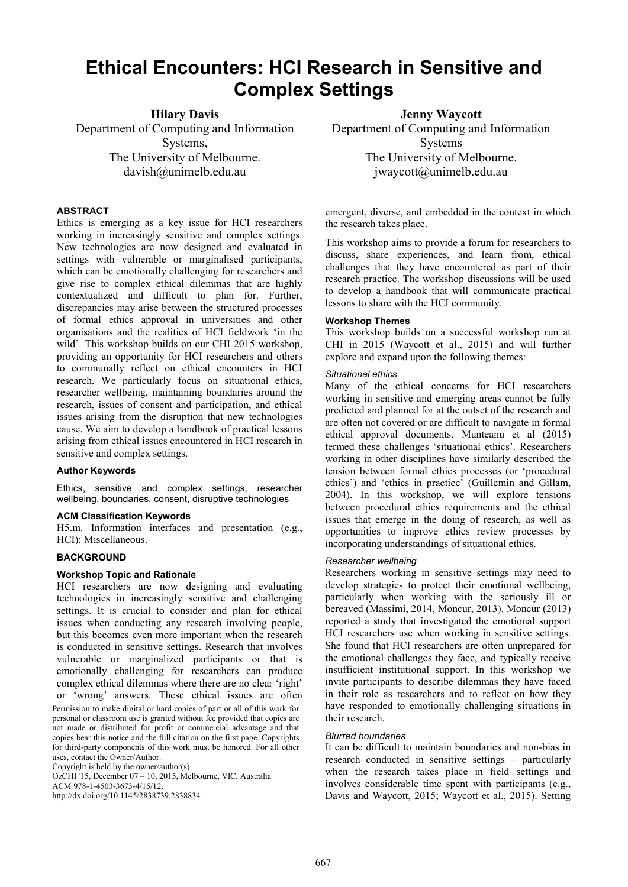# **Ethical Encounters: HCI Research in Sensitive and Complex Settings**

**Hilary Davis** 

Department of Computing and Information Systems, The University of Melbourne. davish@unimelb.edu.au

# **ABSTRACT**

Ethics is emerging as a key issue for HCI researchers working in increasingly sensitive and complex settings. New technologies are now designed and evaluated in settings with vulnerable or marginalised participants, which can be emotionally challenging for researchers and give rise to complex ethical dilemmas that are highly contextualized and difficult to plan for. Further, discrepancies may arise between the structured processes of formal ethics approval in universities and other organisations and the realities of HCI fieldwork 'in the wild'. This workshop builds on our CHI 2015 workshop, providing an opportunity for HCI researchers and others to communally reflect on ethical encounters in HCI research. We particularly focus on situational ethics, researcher wellbeing, maintaining boundaries around the research, issues of consent and participation, and ethical issues arising from the disruption that new technologies cause. We aim to develop a handbook of practical lessons arising from ethical issues encountered in HCI research in sensitive and complex settings.

# **Author Keywords**

Ethics, sensitive and complex settings, researcher wellbeing, boundaries, consent, disruptive technologies

# **ACM Classification Keywords**

H5.m. Information interfaces and presentation (e.g., HCI): Miscellaneous.

# **BACKGROUND**

## **Workshop Topic and Rationale**

HCI researchers are now designing and evaluating technologies in increasingly sensitive and challenging settings. It is crucial to consider and plan for ethical issues when conducting any research involving people, but this becomes even more important when the research is conducted in sensitive settings. Research that involves vulnerable or marginalized participants or that is emotionally challenging for researchers can produce complex ethical dilemmas where there are no clear 'right' or 'wrong' answers. These ethical issues are often

Permission to make digital or hard copies of part or all of this work for personal or classroom use is granted without fee provided that copies are not made or distributed for profit or commercial advantage and that copies bear this notice and the full citation on the first page. Copyrights for third-party components of this work must be honored. For all other uses, contact the Owner/Author.

Copyright is held by the owner/author(s).

OzCHI '15, December 07 – 10, 2015, Melbourne, VIC, Australia ACM 978-1-4503-3673-4/15/12. http://dx.doi.org/10.1145/2838739.2838834

**Jenny Waycott** 

Department of Computing and Information Systems The University of Melbourne. jwaycott@unimelb.edu.au

emergent, diverse, and embedded in the context in which the research takes place.

This workshop aims to provide a forum for researchers to discuss, share experiences, and learn from, ethical challenges that they have encountered as part of their research practice. The workshop discussions will be used to develop a handbook that will communicate practical lessons to share with the HCI community.

## **Workshop Themes**

This workshop builds on a successful workshop run at CHI in 2015 (Waycott et al., 2015) and will further explore and expand upon the following themes:

## *Situational ethics*

Many of the ethical concerns for HCI researchers working in sensitive and emerging areas cannot be fully predicted and planned for at the outset of the research and are often not covered or are difficult to navigate in formal ethical approval documents. Munteanu et al (2015) termed these challenges 'situational ethics'. Researchers working in other disciplines have similarly described the tension between formal ethics processes (or 'procedural ethics') and 'ethics in practice' (Guillemin and Gillam, 2004). In this workshop, we will explore tensions between procedural ethics requirements and the ethical issues that emerge in the doing of research, as well as opportunities to improve ethics review processes by incorporating understandings of situational ethics.

#### *Researcher wellbeing*

Researchers working in sensitive settings may need to develop strategies to protect their emotional wellbeing, particularly when working with the seriously ill or bereaved (Massimi, 2014, Moncur, 2013). Moncur (2013) reported a study that investigated the emotional support HCI researchers use when working in sensitive settings. She found that HCI researchers are often unprepared for the emotional challenges they face, and typically receive insufficient institutional support. In this workshop we invite participants to describe dilemmas they have faced in their role as researchers and to reflect on how they have responded to emotionally challenging situations in their research.

#### *Blurred boundaries*

It can be difficult to maintain boundaries and non-bias in research conducted in sensitive settings – particularly when the research takes place in field settings and involves considerable time spent with participants (e.g., Davis and Waycott, 2015; Waycott et al., 2015). Setting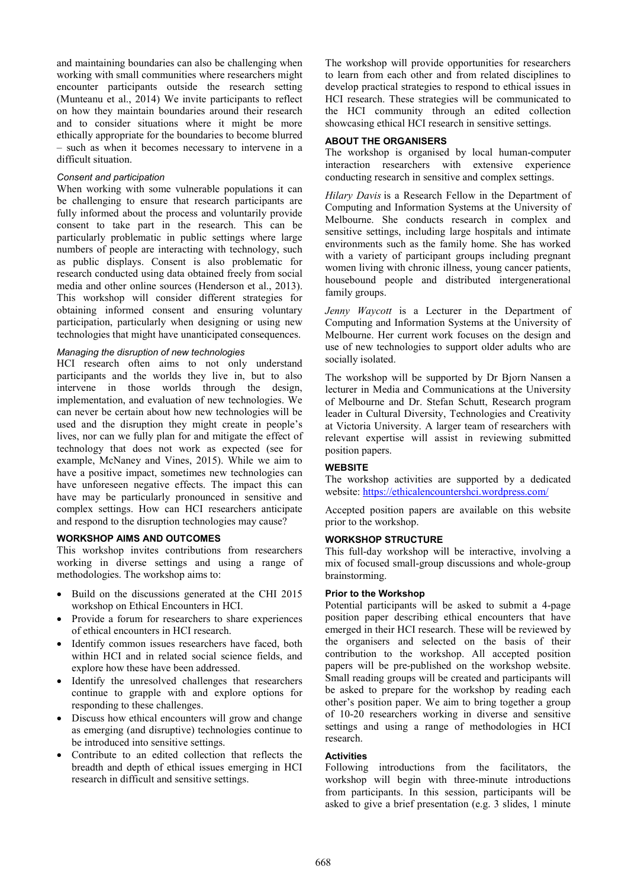and maintaining boundaries can also be challenging when working with small communities where researchers might encounter participants outside the research setting (Munteanu et al., 2014) We invite participants to reflect on how they maintain boundaries around their research and to consider situations where it might be more ethically appropriate for the boundaries to become blurred – such as when it becomes necessary to intervene in a difficult situation.

#### *Consent and participation*

When working with some vulnerable populations it can be challenging to ensure that research participants are fully informed about the process and voluntarily provide consent to take part in the research. This can be particularly problematic in public settings where large numbers of people are interacting with technology, such as public displays. Consent is also problematic for research conducted using data obtained freely from social media and other online sources (Henderson et al., 2013). This workshop will consider different strategies for obtaining informed consent and ensuring voluntary participation, particularly when designing or using new technologies that might have unanticipated consequences.

## *Managing the disruption of new technologies*

HCI research often aims to not only understand participants and the worlds they live in, but to also intervene in those worlds through the design, implementation, and evaluation of new technologies. We can never be certain about how new technologies will be used and the disruption they might create in people's lives, nor can we fully plan for and mitigate the effect of technology that does not work as expected (see for example, McNaney and Vines, 2015). While we aim to have a positive impact, sometimes new technologies can have unforeseen negative effects. The impact this can have may be particularly pronounced in sensitive and complex settings. How can HCI researchers anticipate and respond to the disruption technologies may cause?

#### **WORKSHOP AIMS AND OUTCOMES**

This workshop invites contributions from researchers working in diverse settings and using a range of methodologies. The workshop aims to:

- Build on the discussions generated at the CHI 2015 workshop on Ethical Encounters in HCI.
- Provide a forum for researchers to share experiences of ethical encounters in HCI research.
- Identify common issues researchers have faced, both within HCI and in related social science fields, and explore how these have been addressed.
- Identify the unresolved challenges that researchers continue to grapple with and explore options for responding to these challenges.
- Discuss how ethical encounters will grow and change as emerging (and disruptive) technologies continue to be introduced into sensitive settings.
- Contribute to an edited collection that reflects the breadth and depth of ethical issues emerging in HCI research in difficult and sensitive settings.

The workshop will provide opportunities for researchers to learn from each other and from related disciplines to develop practical strategies to respond to ethical issues in HCI research. These strategies will be communicated to the HCI community through an edited collection showcasing ethical HCI research in sensitive settings.

## **ABOUT THE ORGANISERS**

The workshop is organised by local human-computer interaction researchers with extensive experience conducting research in sensitive and complex settings.

*Hilary Davis* is a Research Fellow in the Department of Computing and Information Systems at the University of Melbourne. She conducts research in complex and sensitive settings, including large hospitals and intimate environments such as the family home. She has worked with a variety of participant groups including pregnant women living with chronic illness, young cancer patients, housebound people and distributed intergenerational family groups.

*Jenny Waycott* is a Lecturer in the Department of Computing and Information Systems at the University of Melbourne. Her current work focuses on the design and use of new technologies to support older adults who are socially isolated.

The workshop will be supported by Dr Bjorn Nansen a lecturer in Media and Communications at the University of Melbourne and Dr. Stefan Schutt, Research program leader in Cultural Diversity, Technologies and Creativity at Victoria University. A larger team of researchers with relevant expertise will assist in reviewing submitted position papers.

# **WEBSITE**

The workshop activities are supported by a dedicated website:<https://ethicalencountershci.wordpress.com/>

Accepted position papers are available on this website prior to the workshop.

## **WORKSHOP STRUCTURE**

This full-day workshop will be interactive, involving a mix of focused small-group discussions and whole-group brainstorming.

## **Prior to the Workshop**

Potential participants will be asked to submit a 4-page position paper describing ethical encounters that have emerged in their HCI research. These will be reviewed by the organisers and selected on the basis of their contribution to the workshop. All accepted position papers will be pre-published on the workshop website. Small reading groups will be created and participants will be asked to prepare for the workshop by reading each other's position paper. We aim to bring together a group of 10-20 researchers working in diverse and sensitive settings and using a range of methodologies in HCI research.

#### **Activities**

Following introductions from the facilitators, the workshop will begin with three-minute introductions from participants. In this session, participants will be asked to give a brief presentation (e.g. 3 slides, 1 minute